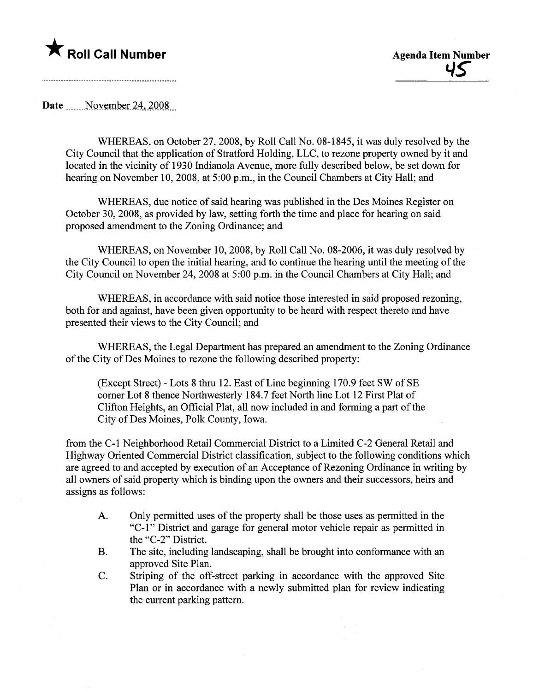# **\*** Roll Call Number Agenda Item Number

Date  $\sim$  November 24, 2008

WHEREAS, on October 27,2008, by Roll Call No. 08-1845, it was duly resolved by the City Council that the application of Stratford Holding, LLC, to rezone property owned by it and located in the vicinity of 1930 Indianola Avenue, more fully described below, be set down for hearing on November 10, 2008, at 5:00 p.m., in the Council Chambers at City Hall; and

WHEREAS, due notice of said hearing was published in the Des Moines Register on October 30, 2008, as provided by law, setting forth the time and place for hearing on said proposed amendment to the Zoning Ordinance; and

WHEREAS, on November 10,2008, by Roll Call No. 08-2006, it was duly resolved by the City Council to open the initial hearing, and to continue the hearing until the meeting of the City Council on November 24,2008 at 5:00 p.m. in the Council Chambers at City Hall; and

WHEREAS, in accordance with said notice those interested in said proposed rezoning, both for and against, have been given opportunity to be heard with respect thereto and have presented their views to the City Council; and

WHEREAS, the Legal Department has prepared an amendment to the Zoning Ordinance of the City of Des Moines to rezone the following described property:

 $(Exact)$  - Lots 8 thru 12. East of Line beginning 170.9 feet SW of SE comer Lot 8 thence Northwesterly 184.7 feet North line Lot 12 First Plat of Clifton Heights, an Official Plat, all now included in and forming a par of the City of Des Moines, Polk County, Iowa.

from the C-L Neighborhood Retail Commercial District to a Limited C-2 General Retail and Highway Oriented Commercial District classification, subject to the following conditions which are agreed to and accepted by execution of an Acceptance of Rezoning Ordinance in writing by all owners of said property which is binding upon the owners and their successors, heirs and assigns as follows:

- A. Only permitted uses of the property shall be those uses as permitted in the "C-l" District and garage for general motor vehicle repair as permitted in the "C-2" District.
- B. The site, including landscaping, shall be brought into conformance with an approved Site Plan.
- C. Striping of the off-street parking in accordance with the approved Site Plan or in accordance with a newly submitted plan for review indicating the current parking pattern.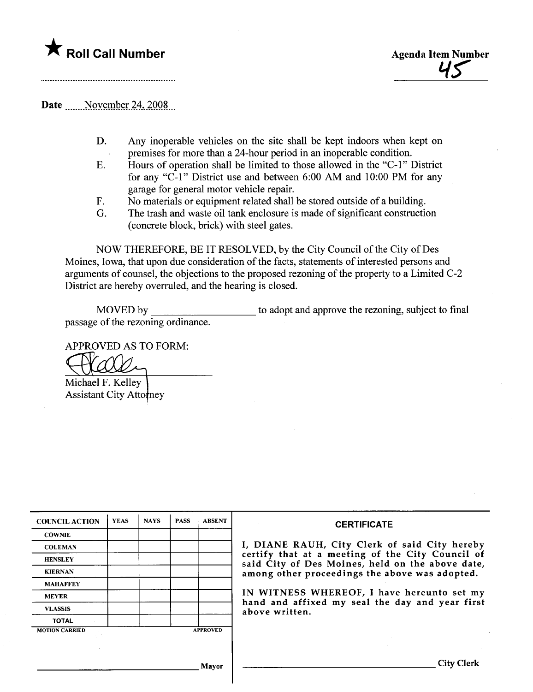



# Date .......November 24, 2008...

- D. Any inoperable vehicles on the site shall be kept indoors when kept on premises for more than a 24-hour period in an inoperable condition.
- E. Hours of operation shall be limited to those allowed in the "C-l" District for any "C-1" District use and between  $6:00$  AM and  $10:00$  PM for any garage for general motor vehicle repair.
- F. No materials or equipment related shall be stored outside of a building.
- G. The trash and waste oil tank enclosure is made of significant construction (concrete block, brick) with steel gates.

NOW THEREFORE, BE IT RESOLVED, by the City Council of the City of Des Moines, Iowa, that upon due consideration of the facts, statements of interested persons and arguments of counsel, the objections to the proposed rezoning of the property to a Limited C-2 District are hereby overruled, and the hearing is closed.

MOVED by passage of the rezoning ordinance. to adopt and approve the rezoning, subject to final

APPROVED AS TO FORM:

Michael F. Kelley Assistant City Attorney

| <b>COUNCIL ACTION</b> | <b>YEAS</b> | <b>NAYS</b> | <b>PASS</b> | <b>ABSENT</b>   | <b>CERTIFICATE</b>                                                                                   |  |  |  |  |  |
|-----------------------|-------------|-------------|-------------|-----------------|------------------------------------------------------------------------------------------------------|--|--|--|--|--|
| <b>COWNIE</b>         |             |             |             |                 |                                                                                                      |  |  |  |  |  |
| <b>COLEMAN</b>        |             |             |             |                 | I, DIANE RAUH, City Clerk of said City hereby                                                        |  |  |  |  |  |
| <b>HENSLEY</b>        |             |             |             |                 | certify that at a meeting of the City Council of<br>said City of Des Moines, held on the above date, |  |  |  |  |  |
| <b>KIERNAN</b>        |             |             |             |                 | among other proceedings the above was adopted.                                                       |  |  |  |  |  |
| <b>MAHAFFEY</b>       |             |             |             |                 |                                                                                                      |  |  |  |  |  |
| <b>MEYER</b>          |             |             |             |                 | IN WITNESS WHEREOF, I have hereunto set my                                                           |  |  |  |  |  |
| <b>VLASSIS</b>        |             |             |             |                 | hand and affixed my seal the day and year first<br>above written.                                    |  |  |  |  |  |
| <b>TOTAL</b>          |             |             |             |                 |                                                                                                      |  |  |  |  |  |
| <b>MOTION CARRIED</b> |             |             |             | <b>APPROVED</b> |                                                                                                      |  |  |  |  |  |
|                       |             |             |             |                 |                                                                                                      |  |  |  |  |  |
|                       |             |             |             | Mayor           | <b>Llerk</b>                                                                                         |  |  |  |  |  |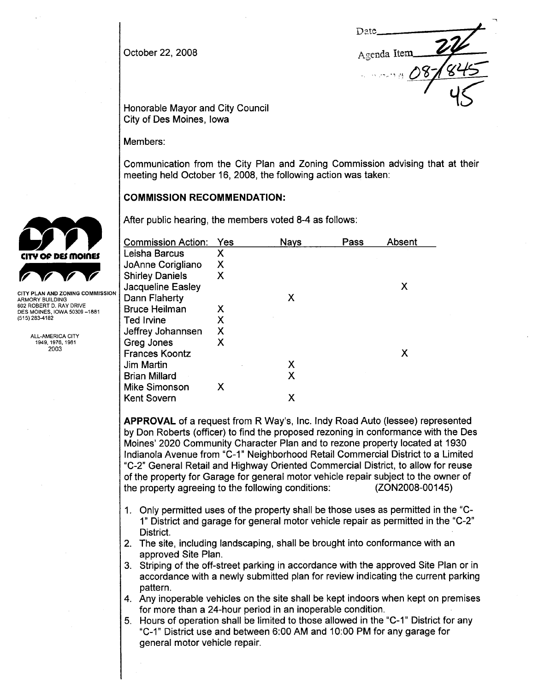October 22, 2008

-. **D**<sub>2</sub>te Agenda Item  $\cdot$  really  $\mu$ 

Honorable Mayor and City Council City of Des Moines, Iowa

Members:

Communication from the City Plan and Zoning Commission advising that at their meeting held October 16, 2008, the following action was taken:

#### **COMMISSION RECOMMENDATION:**

|                                                        | <b>Commission Action:</b> | Yes | <b>Nays</b> | Pass | Absent |  |
|--------------------------------------------------------|---------------------------|-----|-------------|------|--------|--|
| CITY OF DES MOINES                                     | Leisha Barcus             | X   |             |      |        |  |
|                                                        | JoAnne Corigliano         | Χ   |             |      |        |  |
|                                                        | <b>Shirley Daniels</b>    | X   |             |      |        |  |
|                                                        | Jacqueline Easley         |     |             |      | X      |  |
| CITY PLAN AND ZONING COMMISSION<br>ARMORY BUILDING     | Dann Flaherty             |     | X           |      |        |  |
| 602 ROBERT D. RAY DRIVE<br>DES MOINES, IOWA 50309-1881 | <b>Bruce Heilman</b>      | х   |             |      |        |  |
| (515) 283-4182                                         | Ted Irvine                | Χ   |             |      |        |  |
| ALL-AMERICA CITY                                       | Jeffrey Johannsen         | Χ   |             |      |        |  |
| 1949 1976, 1981                                        | Greg Jones                | X   |             |      |        |  |
| 2003                                                   | <b>Frances Koontz</b>     |     |             |      | Х      |  |
|                                                        | Jim Martin                |     | Х           |      |        |  |
|                                                        | <b>Brian Millard</b>      |     | X           |      |        |  |
|                                                        | <b>Mike Simonson</b>      | Х   |             |      |        |  |
|                                                        | <b>Kent Sovern</b>        |     | X           |      |        |  |
|                                                        |                           |     |             |      |        |  |

APPROVAL of a request from R Way's, Inc. Indy Road Auto (lessee) represented by Don Roberts (officer) to find the proposed rezoning in conformance with the Des Moines' 2020 Community Character Plan and to rezone property located at 1930 Indianola Avenue from "C-1" Neighborhood Retail Commercial District to a Limited "C-2" General Retail and Highway Oriented Commercial District, to allow for reuse of the property for Garage for general motor vehicle repair subject to the owner of the property agreeing to the following conditions: (ZON2008-00145)

- 1. Only permitted uses of the property shall be those uses as permitted in the "C\_ 1" District and garage for general motor vehicle repair as permitted in the "C\_2" District.
- 2. The site, including landscaping, shall be brought into conformance with an approved Site Plan.
- 3. Striping of the off-street parking in accordance with the approved Site Plan or in accordance with a newly submitted plan for review indicating the current parking pattern.
- 4. Any inoperable vehicles on the site shall be kept indoors when kept on premises for more than a 24-hour period in an inoperable condition.
- 5. Hours of operation shall be limited to those allowed in the "C-1" District for any "C-1" District use and between 6:00 AM and 10:00 PM for any garage for general motor vehicle repair.

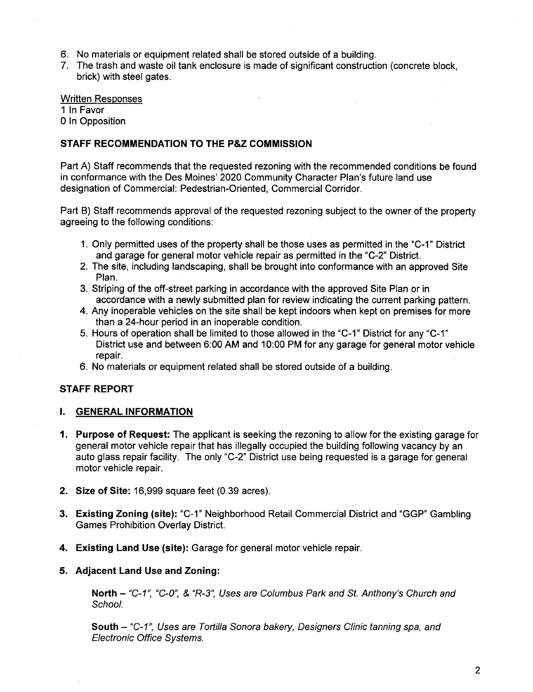- 6. No materials or equipment related shall be stored outside of a building.
- 7. The trash and waste oil tank enclosure is made of significant construction (concrete block, brick) with steel gates.

#### Written Responses

1 In Favor

o In Opposition

#### STAFF RECOMMENDATION TO THE P&Z COMMISSION

Part A) Staff recommends that the requested rezoning with the recommended conditions be found in conformance with the Des Moines' 2020 Community Character Plan's future land use designation of Commercial: Pedestrian-Oriented, Commercial Corridor.

Part B) Staff recommends approval of the requested rezoning subject to the owner of the property agreeing to the following conditions:

- 1. Only permitted uses of the property shall be those uses as permitted in the "C-1" District and garage for general motor vehicle repair as permitted in the "C-2" District.
- 2. The site, including landscaping, shall be brought into conformance with an approved Site Plan.
- 3. Striping of the off-street parking in accordance with the approved Site Plan or in accordance with a newly submitted plan for review indicating the current parking pattern.
- 4. Any inoperable vehicles on the site shall be kept indoors when kept on premises for more than a 24-hour period in an inoperable condition.
- 5. Hours of operation shall be limited to those allowed in the "C\_1" District for any "C\_1" District use and between 6:00 AM and 10:00 PM for any garage for general motor vehicle repair.
- 6. No materials or equipment related shall be stored outside of a building.

## STAFF REPORT

## I. GENERAL INFORMATION

- 1. Purpose of Request: The applicant is seeking the rezoning to allow for the existing garage for general motor vehicle repair that has illegally occupied the building following vacancy by an auto glass repair facility. The only "C\_2" District use being requested is a garage for general motor vehicle repair.
- 2. Size of Site: 16,999 square feet (0.39 acres).
- 3. Existing Zoning (site): "C-1" Neighborhood Retail Commercial District and "GGP" Gambling Games Prohibition Overlay District.
- 4. Existing Land Use (site): Garage for general motor vehicle repair.

## 5. Adjacent Land Use and Zoning:

North - "C-1", "C-0", & "R-3", Uses are Columbus Park and St. Anthony's Church and School.

South - "C-1", Uses are Tortilla Sonora bakery, Designers Clinic tanning spa, and Electronic Office Systems.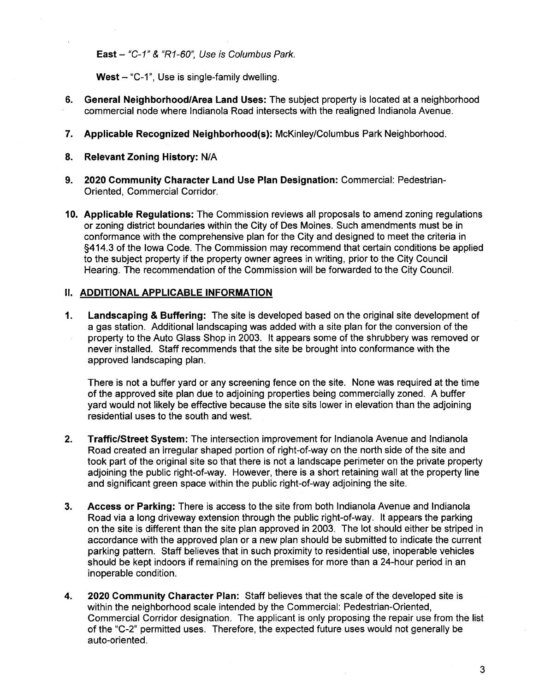East  $-$  "C-1" & "R1-60", Use is Columbus Park.

West  $-$  "C-1", Use is single-family dwelling.

- 6. General Neighborhood/Area Land Uses: The subject property is located at a neighborhood commercial node where Indianola Road intersects with the realigned Indianola Avenue.
- 7. Applicable Recognized Neighborhood(s): McKinley/Columbus Park Neighborhood.
- 8. Relevant Zoning History: N/A
- 9. 2020 Community Character Land Use Plan Designation: Commercial: Pedestrian-Oriented, Commercial Corridor.
- 10. Applicable Regulations: The Commission reviews all proposals to amend zoning regulations or zoning district boundaries within the City of Des Moines. Such amendments must be in conformance with the comprehensive plan for the City and designed to meet the criteria in §414.3 of the Iowa Code. The Commission may recommend that certain conditions be applied to the subject property if the property owner agrees in writing, prior to the City Council Hearing. The recommendation of the Commission will be forwarded to the City Council.

# II. ADDITIONAL APPLICABLE INFORMATION

1. Landscaping & Buffering: The site is developed based on the original site development of a gas station. Additional landscaping was added with a site plan for the conversion of the property to the Auto Glass Shop in 2003. It appears some of the shrubbery was removed or never installed. Staff recommends that the site be brought into conformance with the approved landscaping plan.

There is not a buffer yard or any screening fence on the site. None was required at the time of the approved site plan due to adjoining properties being commercially zoned. A buffer yard would not likely be effective because the site sits lower in elevation than the adjoining residential uses to the south and west.

- 2. Traffic/Street System: The intersection improvement for Indianola Avenue and Indianola Road created an irregular shaped portion of right-of-way on the north side of the site and took part of the original site so that there is not a landscape perimeter on the private property adjoining the public right-of-way. However, there is a short retaining wall at the property line and significant green space within the public right-of-way adjoining the site.
- 3. Access or Parking: There is access to the site from both Indianola Avenue and Indianola Road via a long driveway extension through the public right-of-way. It appears the parking on the site is different than the site plan approved in 2003. The lot should either be striped in accordance with the approved plan or a new plan should be submitted to indicate the current parking pattern. Staff believes that in such proximity to residential use, inoperable vehicles should be kept indoors if remaining on the premises for more than a 24-hour period in an inoperable condition.
- 4. 2020 Community Character Plan: Staff believes that the scale of the developed site is within the neighborhood scale intended by the Commercial: Pedestrian-Oriented, Commercial Corridor designation. The applicant is only proposing the repair use from the list of the "C-2" permitted uses. Therefore, the expected future uses would not generally be auto-oriented.

3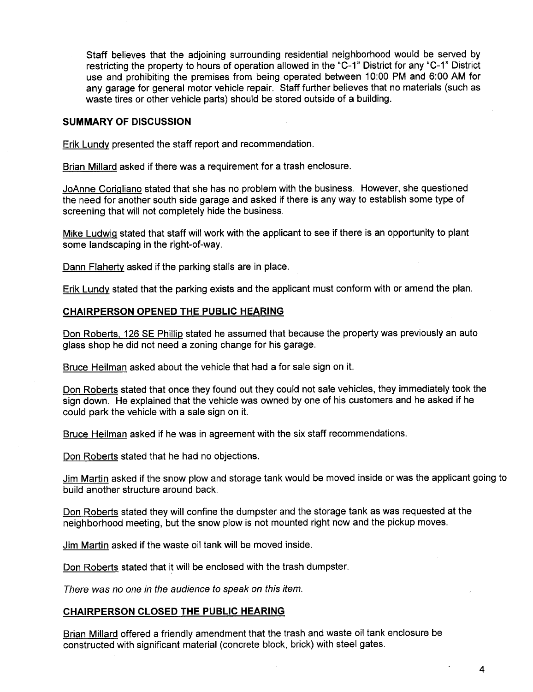Staff believes that the adjoining surrounding residential neighborhood would be served by restricting the property to hours of operation allowed in the "C-1" District for any "C-1" District use and prohibiting the premises from being operated between 10:00 PM and 6:00 AM for any garage for general motor vehicle repair. Staff further believes that no materials (such as waste tires or other vehicle parts) should be stored outside of a building.

#### SUMMARY OF DISCUSSION

Erik Lundv presented the staff report and recommendation.

Brian Milard asked if there was a requirement for a trash enclosure.

JoAnne Coriqliano stated that she has no problem with the business. However, she questioned the need for another south side garage and asked if there is any way to establish some type of screening that will not completely hide the business.

Mike Ludwiq stated that staff will work with the applicant to see if there is an opportunity to plant some landscaping in the right-of-way.

Dann Flaherty asked if the parking stalls are in place.

Erik Lundv stated that the parking exists and the applicant must conform with or amend the plan.

#### CHAIRPERSON OPENED THE PUBLIC HEARING

Don Roberts, 126 SE Phillip stated he assumed that because the property was previously an auto glass shop he did not need a zoning change for his garage.

Bruce Heilman asked about the vehicle that had a for sale sign on it.

Don Roberts stated that once they found out they could not sale vehicles, they immediately took the sign down. He explained that the vehicle was owned by one of his customers and he asked if he could park the vehicle with a sale sign on it.

Bruce Heilman asked if he was in agreement with the six staff recommendations.

Don Roberts stated that he had no objections.

Jim Martin asked if the snow plow and storage tank would be moved inside or was the applicant going to build another structure around back.

Don Roberts stated they will confine the dumpster and the storage tank as was requested at the neighborhood meeting, but the snow plow is not mounted right now and the pickup moves.

Jim Martin asked if the waste oil tank will be moved inside.

Don Roberts stated that it will be enclosed with the trash dumpster.

There was no one in the audience to speak on this item.

#### CHAIRPERSON CLOSED THE PUBLIC HEARING

Brian Millard offered a friendly amendment that the trash and waste oil tank enclosure be constructed with significant material (concrete block, brick) with steel gates.

4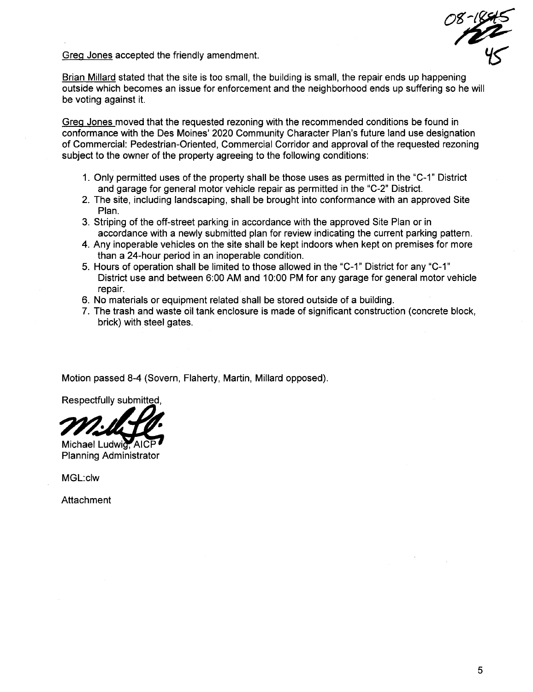Greq Jones accepted the friendly amendment.

08-1845  $45~$ 

Brian Millard stated that the site is too small, the building is small, the repair ends up happening outside which becomes an issue for enforcement and the neighborhood ends up suffering so he will be voting against it.

Greq Jones moved that the requested rezoning with the recommended conditions be found in conformance with the Des Moines' 2020 Community Character Plan's future land use designation of Commercial: Pedestrian-Oriented, Commercial Corridor and approval of the requested rezoning subject to the owner of the property agreeing to the following conditions:

- 1. Only permitted uses of the property shall be those uses as permitted in the "C-1" District and garage for general motor vehicle repair as permitted in the "C-2" District.
- 2. The site, including landscaping, shall be brought into conformance with an approved Site Plan.
- 3. Striping of the off-street parking in accordance with the approved Site Plan or in accordance with a newly submitted plan for review indicating the current parking pattern.
- 4. Any inoperable vehicles on the site shall be kept indoors when kept on premises for more than a 24-hour period in an inoperable condition.
- 5. Hours of operation shall be limited to those allowed in the "C-1" District for any "C-1" District use and between 6:00 AM and 1 0:00 PM for any garage for general motor vehicle repair.
- 6. No materials or equipment related shall be stored outside of a building.
- 7. The trash and waste oil tank enclosure is made of significant construction (concrete block, brick) with steel gates.

Motion passed 8-4 (Sovern, Flaherty, Martin, Millard opposed).

Respectfully submitted,

Michael Ludwig, AICI **Planning Administrator** 

MGL:clw

Attachment